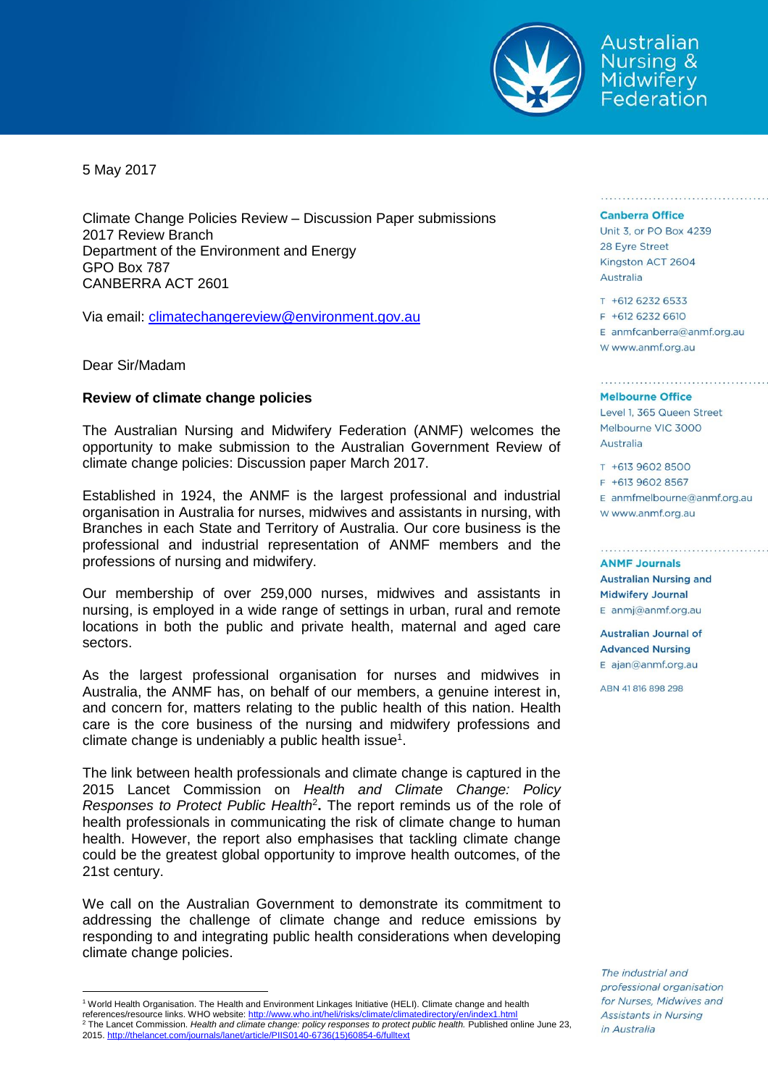

Australian **Nursing & Midwifery** Federation

5 May 2017

Climate Change Policies Review – Discussion Paper submissions 2017 Review Branch Department of the Environment and Energy GPO Box 787 CANBERRA ACT 2601

Via email: [climatechangereview@environment.gov.au](mailto:climatechangereview@environment.gov.au)

Dear Sir/Madam

## **Review of climate change policies**

The Australian Nursing and Midwifery Federation (ANMF) welcomes the opportunity to make submission to the Australian Government Review of climate change policies: Discussion paper March 2017.

Established in 1924, the ANMF is the largest professional and industrial organisation in Australia for nurses, midwives and assistants in nursing, with Branches in each State and Territory of Australia. Our core business is the professional and industrial representation of ANMF members and the professions of nursing and midwifery.

Our membership of over 259,000 nurses, midwives and assistants in nursing, is employed in a wide range of settings in urban, rural and remote locations in both the public and private health, maternal and aged care sectors.

As the largest professional organisation for nurses and midwives in Australia, the ANMF has, on behalf of our members, a genuine interest in, and concern for, matters relating to the public health of this nation. Health care is the core business of the nursing and midwifery professions and climate change is undeniably a public health issue<sup>1</sup>.

The link between health professionals and climate change is captured in the 2015 Lancet Commission on *Health and Climate Change: Policy Responses to Protect Public Health*<sup>2</sup> **.** The report reminds us of the role of health professionals in communicating the risk of climate change to human health. However, the report also emphasises that tackling climate change could be the greatest global opportunity to improve health outcomes, of the 21st century.

We call on the Australian Government to demonstrate its commitment to addressing the challenge of climate change and reduce emissions by responding to and integrating public health considerations when developing climate change policies.

references/resource links. WHO website: http://www.who.int/heli/risks/climate/climatedirectory/en/ <sup>2</sup> The Lancet Commission. *Health and climate change: policy responses to protect public health.* Published online June 23,

 $\overline{a}$ 

#### **Canberra Office**

Unit 3, or PO Box 4239 28 Eyre Street Kingston ACT 2604 Australia

T +612 6232 6533 F +612 6232 6610  $E$  anmfcanberra@anmf.org.au w www.anmf.org.au

io por ele persono o una provisione del signe o una provisione

#### **Melbourne Office**

Level 1, 365 Queen Street Melbourne VIC 3000 Australia

T +613 9602 8500 F +613 9602 8567  $E$  anmfmelbourne@anmf.org.au W www.anmf.org.au

**ANME Journals Australian Nursing and Midwifery Journal** E anmj@anmf.org.au

Australian Journal of **Advanced Nursing**  $E$  ajan@anmf.org.au

ABN 41816898298

The industrial and professional organisation for Nurses, Midwives and Assistants in Nursing in Australia

<sup>1</sup> World Health Organisation. The Health and Environment Linkages Initiative (HELI). Climate change and health

<sup>2015.</sup> [http://thelancet.com/journals/lanet/article/PIIS0140-6736\(15\)60854-6/fulltext](http://thelancet.com/journals/lanet/article/PIIS0140-6736(15)60854-6/fulltext)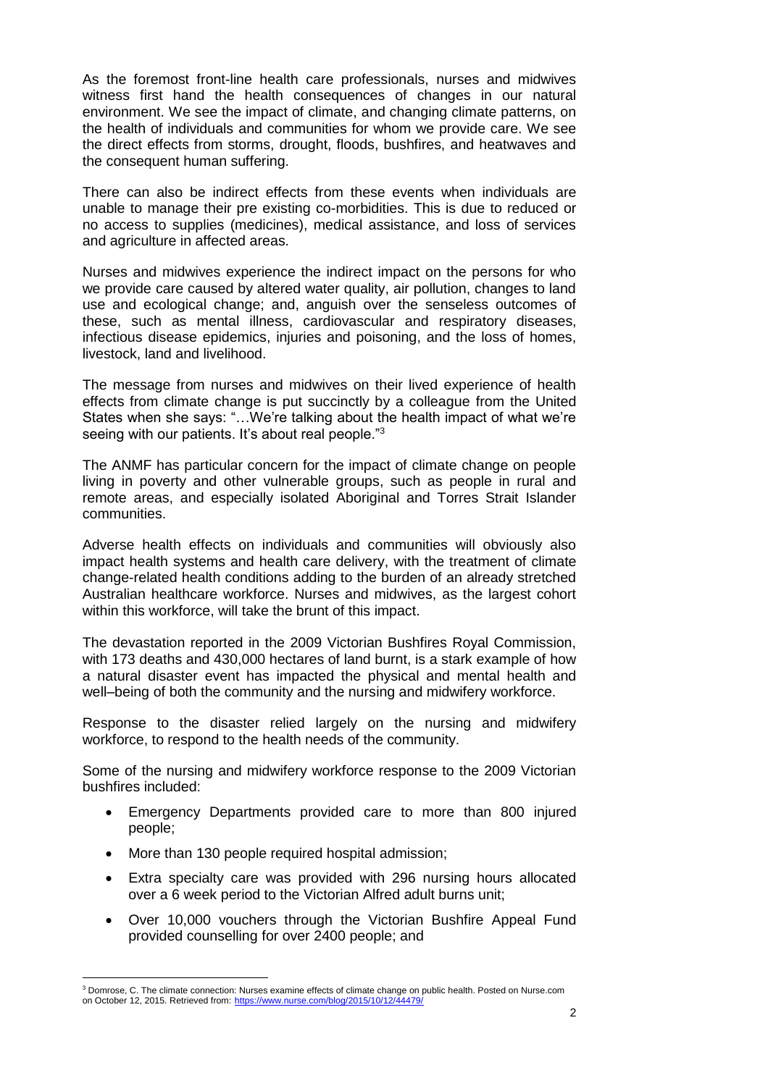As the foremost front-line health care professionals, nurses and midwives witness first hand the health consequences of changes in our natural environment. We see the impact of climate, and changing climate patterns, on the health of individuals and communities for whom we provide care. We see the direct effects from storms, drought, floods, bushfires, and heatwaves and the consequent human suffering.

There can also be indirect effects from these events when individuals are unable to manage their pre existing co-morbidities. This is due to reduced or no access to supplies (medicines), medical assistance, and loss of services and agriculture in affected areas.

Nurses and midwives experience the indirect impact on the persons for who we provide care caused by altered water quality, air pollution, changes to land use and ecological change; and, anguish over the senseless outcomes of these, such as mental illness, cardiovascular and respiratory diseases, infectious disease epidemics, injuries and poisoning, and the loss of homes, livestock, land and livelihood.

The message from nurses and midwives on their lived experience of health effects from climate change is put succinctly by a colleague from the United States when she says: "…We're talking about the health impact of what we're seeing with our patients. It's about real people."<sup>3</sup>

The ANMF has particular concern for the impact of climate change on people living in poverty and other vulnerable groups, such as people in rural and remote areas, and especially isolated Aboriginal and Torres Strait Islander communities.

Adverse health effects on individuals and communities will obviously also impact health systems and health care delivery, with the treatment of climate change-related health conditions adding to the burden of an already stretched Australian healthcare workforce. Nurses and midwives, as the largest cohort within this workforce, will take the brunt of this impact.

The devastation reported in the 2009 Victorian Bushfires Royal Commission, with 173 deaths and 430,000 hectares of land burnt, is a stark example of how a natural disaster event has impacted the physical and mental health and well–being of both the community and the nursing and midwifery workforce.

Response to the disaster relied largely on the nursing and midwifery workforce, to respond to the health needs of the community.

Some of the nursing and midwifery workforce response to the 2009 Victorian bushfires included:

- Emergency Departments provided care to more than 800 injured people;
- More than 130 people required hospital admission;
- Extra specialty care was provided with 296 nursing hours allocated over a 6 week period to the Victorian Alfred adult burns unit;
- Over 10,000 vouchers through the Victorian Bushfire Appeal Fund provided counselling for over 2400 people; and

 $\overline{a}$ <sup>3</sup> Domrose, C. The climate connection: Nurses examine effects of climate change on public health. Posted on Nurse.com on October 12, 2015. Retrieved from: <https://www.nurse.com/blog/2015/10/12/44479/>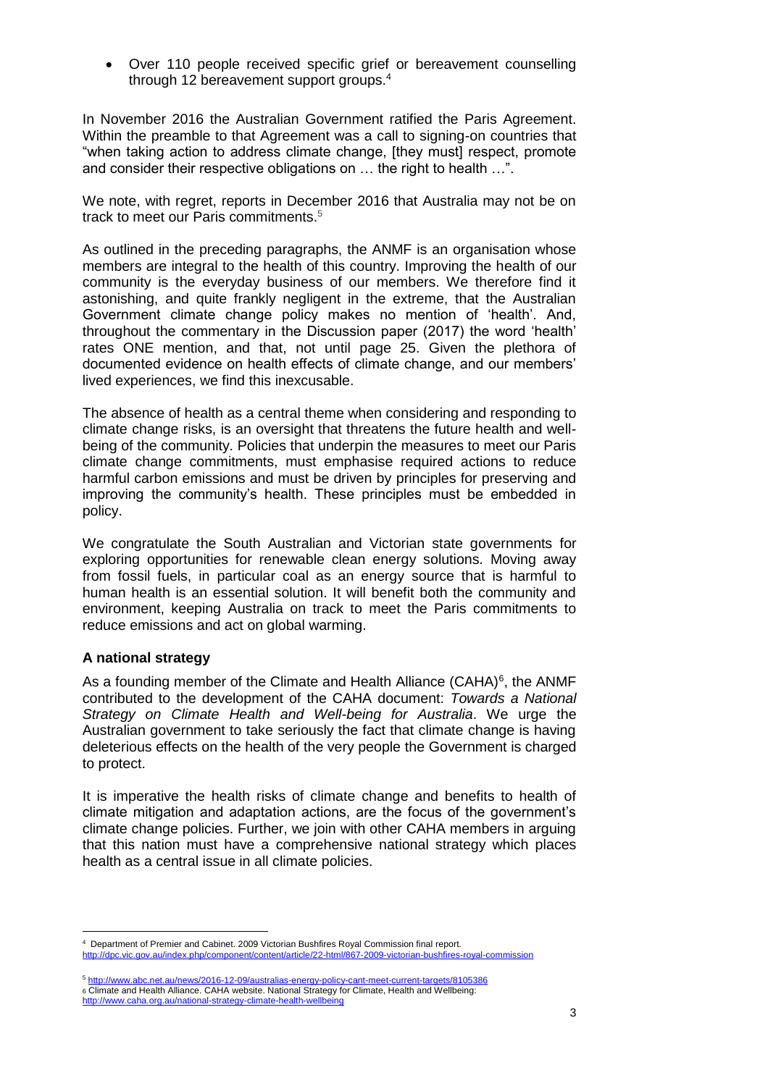Over 110 people received specific grief or bereavement counselling through 12 bereavement support groups.<sup>4</sup>

In November 2016 the Australian Government ratified the Paris Agreement. Within the preamble to that Agreement was a call to signing-on countries that "when taking action to address climate change, [they must] respect, promote and consider their respective obligations on … the right to health …".

We note, with regret, reports in December 2016 that Australia may not be on track to meet our Paris commitments.<sup>5</sup>

As outlined in the preceding paragraphs, the ANMF is an organisation whose members are integral to the health of this country. Improving the health of our community is the everyday business of our members. We therefore find it astonishing, and quite frankly negligent in the extreme, that the Australian Government climate change policy makes no mention of 'health'. And, throughout the commentary in the Discussion paper (2017) the word 'health' rates ONE mention, and that, not until page 25. Given the plethora of documented evidence on health effects of climate change, and our members' lived experiences, we find this inexcusable.

The absence of health as a central theme when considering and responding to climate change risks, is an oversight that threatens the future health and wellbeing of the community. Policies that underpin the measures to meet our Paris climate change commitments, must emphasise required actions to reduce harmful carbon emissions and must be driven by principles for preserving and improving the community's health. These principles must be embedded in policy.

We congratulate the South Australian and Victorian state governments for exploring opportunities for renewable clean energy solutions. Moving away from fossil fuels, in particular coal as an energy source that is harmful to human health is an essential solution. It will benefit both the community and environment, keeping Australia on track to meet the Paris commitments to reduce emissions and act on global warming.

# **A national strategy**

 $\overline{a}$ 

As a founding member of the Climate and Health Alliance (CAHA) $<sup>6</sup>$ , the ANMF</sup> contributed to the development of the CAHA document: *Towards a National Strategy on Climate Health and Well-being for Australia*. We urge the Australian government to take seriously the fact that climate change is having deleterious effects on the health of the very people the Government is charged to protect.

It is imperative the health risks of climate change and benefits to health of climate mitigation and adaptation actions, are the focus of the government's climate change policies. Further, we join with other CAHA members in arguing that this nation must have a comprehensive national strategy which places health as a central issue in all climate policies.

<sup>4</sup> Department of Premier and Cabinet. 2009 Victorian Bushfires Royal Commission final report. htent/article/22-html/867-2009-victorian-bushfires-royal-commission

<sup>5</sup> <http://www.abc.net.au/news/2016-12-09/australias-energy-policy-cant-meet-current-targets/8105386> 6 Climate and Health Alliance. CAHA website. National Strategy for Climate, Health and Wellbeing: <http://www.caha.org.au/national-strategy-climate-health-wellbeing>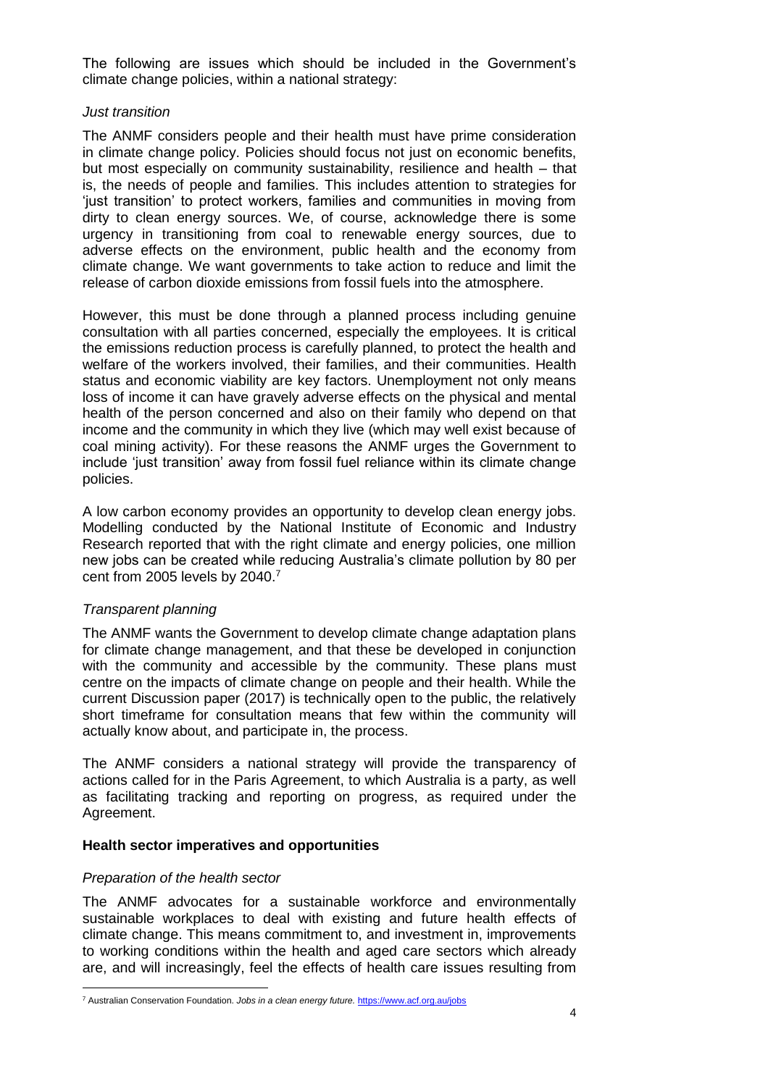The following are issues which should be included in the Government's climate change policies, within a national strategy:

## *Just transition*

The ANMF considers people and their health must have prime consideration in climate change policy. Policies should focus not just on economic benefits, but most especially on community sustainability, resilience and health – that is, the needs of people and families. This includes attention to strategies for 'just transition' to protect workers, families and communities in moving from dirty to clean energy sources. We, of course, acknowledge there is some urgency in transitioning from coal to renewable energy sources, due to adverse effects on the environment, public health and the economy from climate change. We want governments to take action to reduce and limit the release of carbon dioxide emissions from fossil fuels into the atmosphere.

However, this must be done through a planned process including genuine consultation with all parties concerned, especially the employees. It is critical the emissions reduction process is carefully planned, to protect the health and welfare of the workers involved, their families, and their communities. Health status and economic viability are key factors. Unemployment not only means loss of income it can have gravely adverse effects on the physical and mental health of the person concerned and also on their family who depend on that income and the community in which they live (which may well exist because of coal mining activity). For these reasons the ANMF urges the Government to include 'just transition' away from fossil fuel reliance within its climate change policies.

A low carbon economy provides an opportunity to develop clean energy jobs. Modelling conducted by the National Institute of Economic and Industry Research reported that with the right climate and energy policies, one million new jobs can be created while reducing Australia's climate pollution by 80 per cent from 2005 levels by 2040.<sup>7</sup>

# *Transparent planning*

The ANMF wants the Government to develop climate change adaptation plans for climate change management, and that these be developed in conjunction with the community and accessible by the community. These plans must centre on the impacts of climate change on people and their health. While the current Discussion paper (2017) is technically open to the public, the relatively short timeframe for consultation means that few within the community will actually know about, and participate in, the process.

The ANMF considers a national strategy will provide the transparency of actions called for in the Paris Agreement, to which Australia is a party, as well as facilitating tracking and reporting on progress, as required under the Agreement.

## **Health sector imperatives and opportunities**

## *Preparation of the health sector*

The ANMF advocates for a sustainable workforce and environmentally sustainable workplaces to deal with existing and future health effects of climate change. This means commitment to, and investment in, improvements to working conditions within the health and aged care sectors which already are, and will increasingly, feel the effects of health care issues resulting from

 $\overline{a}$ <sup>7</sup> Australian Conservation Foundation. *Jobs in a clean energy future.* <https://www.acf.org.au/jobs>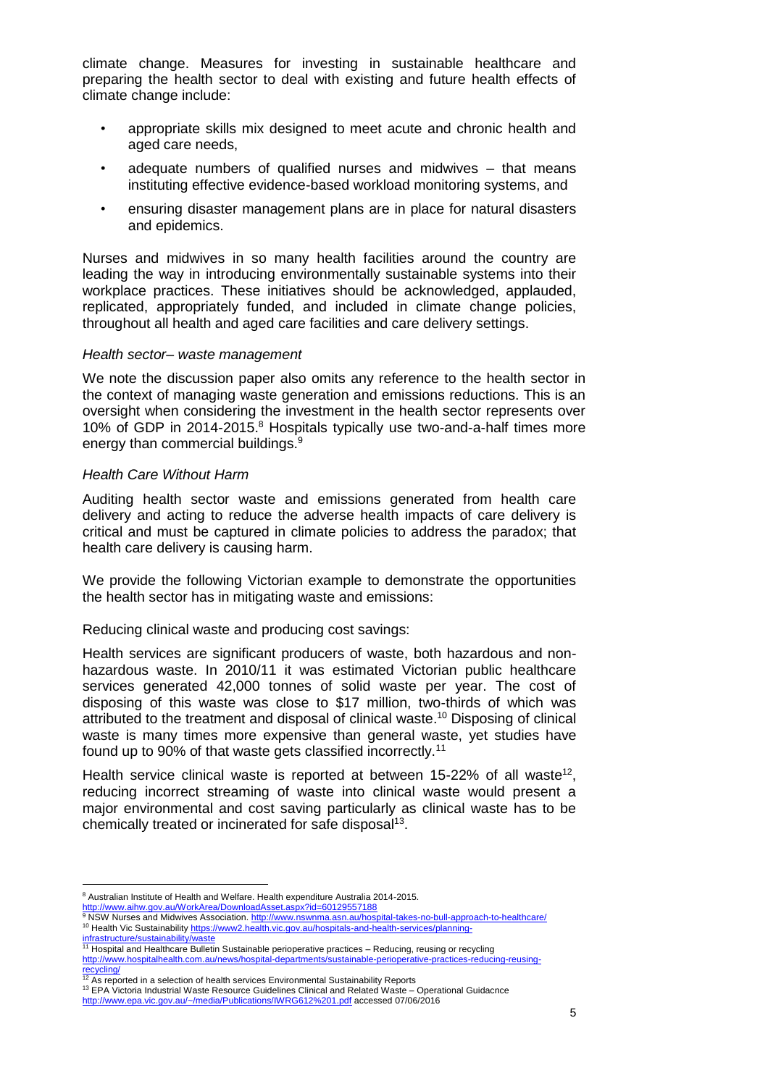climate change. Measures for investing in sustainable healthcare and preparing the health sector to deal with existing and future health effects of climate change include:

- appropriate skills mix designed to meet acute and chronic health and aged care needs,
- adequate numbers of qualified nurses and midwives that means instituting effective evidence-based workload monitoring systems, and
- ensuring disaster management plans are in place for natural disasters and epidemics.

Nurses and midwives in so many health facilities around the country are leading the way in introducing environmentally sustainable systems into their workplace practices. These initiatives should be acknowledged, applauded, replicated, appropriately funded, and included in climate change policies, throughout all health and aged care facilities and care delivery settings.

## *Health sector– waste management*

We note the discussion paper also omits any reference to the health sector in the context of managing waste generation and emissions reductions. This is an oversight when considering the investment in the health sector represents over 10% of GDP in 2014-2015. <sup>8</sup> Hospitals typically use two-and-a-half times more energy than commercial buildings.<sup>9</sup>

## *Health Care Without Harm*

Auditing health sector waste and emissions generated from health care delivery and acting to reduce the adverse health impacts of care delivery is critical and must be captured in climate policies to address the paradox; that health care delivery is causing harm.

We provide the following Victorian example to demonstrate the opportunities the health sector has in mitigating waste and emissions:

Reducing clinical waste and producing cost savings:

Health services are significant producers of waste, both hazardous and nonhazardous waste. In 2010/11 it was estimated Victorian public healthcare services generated 42,000 tonnes of solid waste per year. The cost of disposing of this waste was close to \$17 million, two-thirds of which was attributed to the treatment and disposal of clinical waste. <sup>10</sup> Disposing of clinical waste is many times more expensive than general waste, yet studies have found up to 90% of that waste gets classified incorrectly.<sup>11</sup>

Health service clinical waste is reported at between 15-22% of all waste<sup>12</sup>, reducing incorrect streaming of waste into clinical waste would present a major environmental and cost saving particularly as clinical waste has to be chemically treated or incinerated for safe disposal<sup>13</sup>.

 $\overline{a}$ <sup>8</sup> Australian Institute of Health and Welfare. Health expenditure Australia 2014-2015.

<http://www.aihw.gov.au/WorkArea/DownloadAsset.aspx?id=60129557188><br><sup>9</sup> NSW Nurses and Midwives Association. <u>http://www.nswnma.asn.au/hospital-takes-no-bull-approach-to-healthcare/</u> <sup>10</sup> Health Vic Sustainability [https://www2.health.vic.gov.au/hospitals-and-health-services/planning-](https://www2.health.vic.gov.au/hospitals-and-health-services/planning-infrastructure/sustainability/waste)

i<mark>nfrastructure/sustainability/waste</mark><br><sup>11</sup> Hospital and Healthcare Bulletin Sustainable perioperative practices – Reducing, reusing or recycling [http://www.hospitalhealth.com.au/news/hospital-departments/sustainable-perioperative-practices-reducing-reusing-](http://www.hospitalhealth.com.au/news/hospital-departments/sustainable-perioperative-practices-reducing-reusing-recycling/)

<sup>&</sup>lt;u>[recycling/](http://www.hospitalhealth.com.au/news/hospital-departments/sustainable-perioperative-practices-reducing-reusing-recycling/)</u><br><sup>12</sup> As reported in a selection of health services Environmental Sustainability Reports

<sup>13</sup> EPA Victoria Industrial Waste Resource Guidelines Clinical and Related Waste – Operational Guidacnce